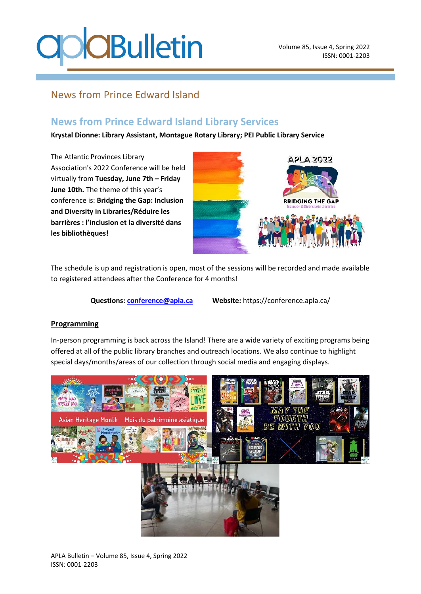# **COBulletin**

### News from Prince Edward Island

### **News from Prince Edward Island Library Services**

**Krystal Dionne: Library Assistant, Montague Rotary Library; PEI Public Library Service**

The Atlantic Provinces Library Association's 2022 Conference will be held virtually from **Tuesday, June 7th – Friday June 10th.** The theme of this year's conference is: **Bridging the Gap: Inclusion and Diversity in Libraries/Réduire les barrières : l'inclusion et la diversité dans les bibliothèques!**



The schedule is up and registration is open, most of the sessions will be recorded and made available to registered attendees after the Conference for 4 months!

**Questions: conference@apla.ca Website:** https://conference.apla.ca/

#### **Programming**

In-person programming is back across the Island! There are a wide variety of exciting programs being offered at all of the public library branches and outreach locations. We also continue to highlight special days/months/areas of our collection through social media and engaging displays.